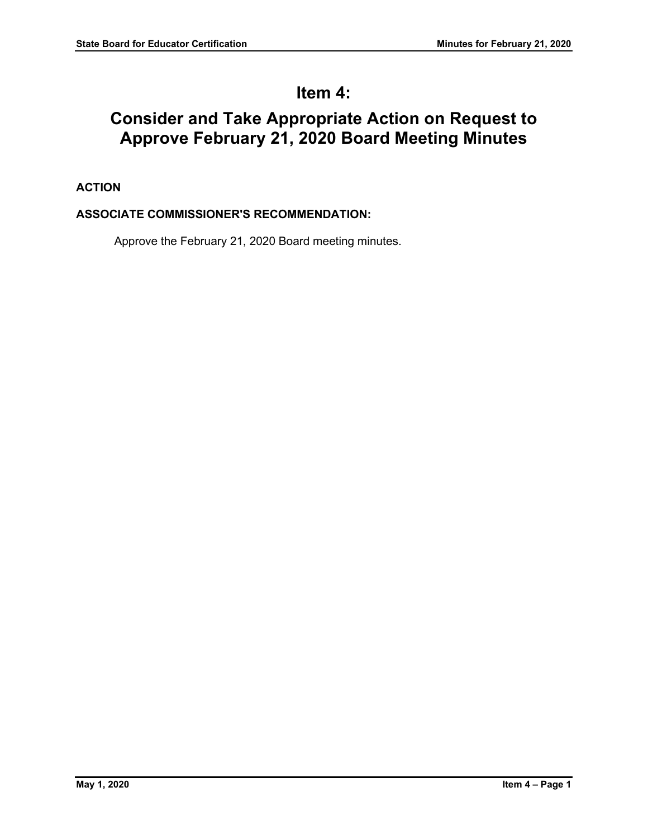# **Item 4:**

# **Consider and Take Appropriate Action on Request to Approve February 21, 2020 Board Meeting Minutes**

# **ACTION**

# **ASSOCIATE COMMISSIONER'S RECOMMENDATION:**

Approve the February 21, 2020 Board meeting minutes.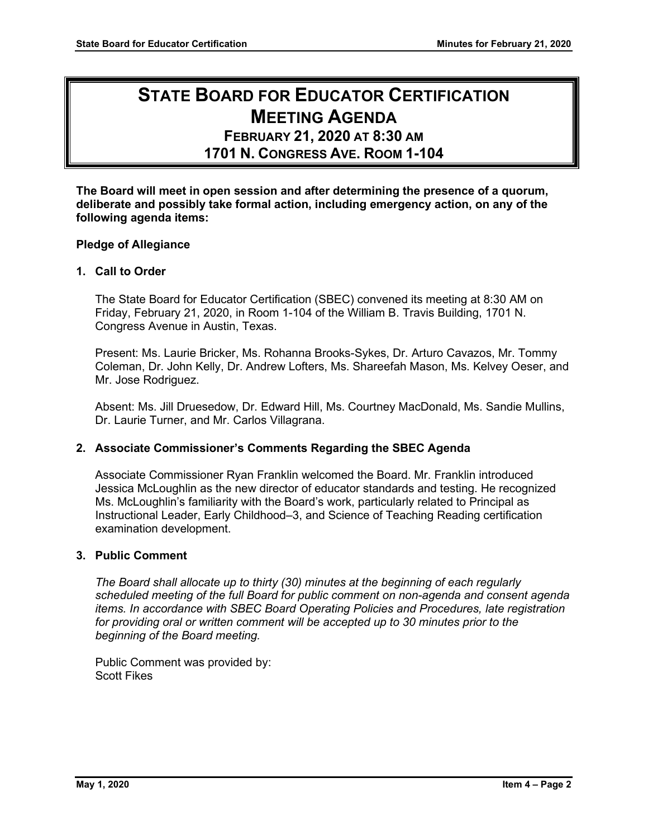# **STATE BOARD FOR EDUCATOR CERTIFICATION MEETING AGENDA**

# **FEBRUARY 21, 2020 AT 8:30 AM 1701 N. CONGRESS AVE. ROOM 1-104**

**The Board will meet in open session and after determining the presence of a quorum, deliberate and possibly take formal action, including emergency action, on any of the following agenda items:**

# **Pledge of Allegiance**

# **1. Call to Order**

The State Board for Educator Certification (SBEC) convened its meeting at 8:30 AM on Friday, February 21, 2020, in Room 1-104 of the William B. Travis Building, 1701 N. Congress Avenue in Austin, Texas.

Present: Ms. Laurie Bricker, Ms. Rohanna Brooks-Sykes, Dr. Arturo Cavazos, Mr. Tommy Coleman, Dr. John Kelly, Dr. Andrew Lofters, Ms. Shareefah Mason, Ms. Kelvey Oeser, and Mr. Jose Rodriguez.

Absent: Ms. Jill Druesedow, Dr. Edward Hill, Ms. Courtney MacDonald, Ms. Sandie Mullins, Dr. Laurie Turner, and Mr. Carlos Villagrana.

# **2. Associate Commissioner's Comments Regarding the SBEC Agenda**

Associate Commissioner Ryan Franklin welcomed the Board. Mr. Franklin introduced Jessica McLoughlin as the new director of educator standards and testing. He recognized Ms. McLoughlin's familiarity with the Board's work, particularly related to Principal as Instructional Leader, Early Childhood–3, and Science of Teaching Reading certification examination development.

# **3. Public Comment**

*The Board shall allocate up to thirty (30) minutes at the beginning of each regularly scheduled meeting of the full Board for public comment on non-agenda and consent agenda items. In accordance with SBEC Board Operating Policies and Procedures, late registration for providing oral or written comment will be accepted up to 30 minutes prior to the beginning of the Board meeting.*

Public Comment was provided by: Scott Fikes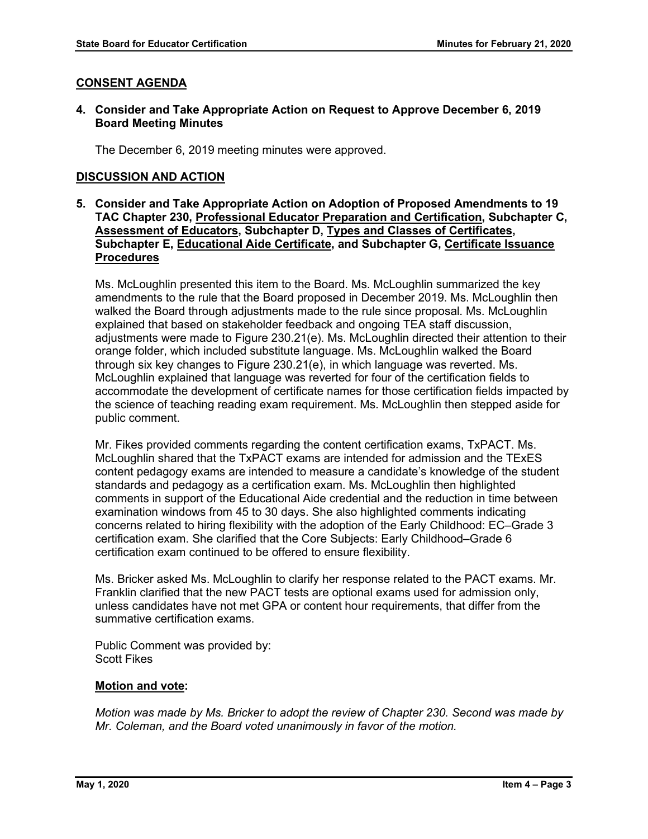# **CONSENT AGENDA**

## **4. Consider and Take Appropriate Action on Request to Approve December 6, 2019 Board Meeting Minutes**

The December 6, 2019 meeting minutes were approved.

# **DISCUSSION AND ACTION**

**5. Consider and Take Appropriate Action on Adoption of Proposed Amendments to 19 TAC Chapter 230, Professional Educator Preparation and Certification, Subchapter C, Assessment of Educators, Subchapter D, Types and Classes of Certificates, Subchapter E, Educational Aide Certificate, and Subchapter G, Certificate Issuance Procedures**

Ms. McLoughlin presented this item to the Board. Ms. McLoughlin summarized the key amendments to the rule that the Board proposed in December 2019. Ms. McLoughlin then walked the Board through adjustments made to the rule since proposal. Ms. McLoughlin explained that based on stakeholder feedback and ongoing TEA staff discussion, adjustments were made to Figure 230.21(e). Ms. McLoughlin directed their attention to their orange folder, which included substitute language. Ms. McLoughlin walked the Board through six key changes to Figure 230.21(e), in which language was reverted. Ms. McLoughlin explained that language was reverted for four of the certification fields to accommodate the development of certificate names for those certification fields impacted by the science of teaching reading exam requirement. Ms. McLoughlin then stepped aside for public comment.

Mr. Fikes provided comments regarding the content certification exams, TxPACT. Ms. McLoughlin shared that the TxPACT exams are intended for admission and the TExES content pedagogy exams are intended to measure a candidate's knowledge of the student standards and pedagogy as a certification exam. Ms. McLoughlin then highlighted comments in support of the Educational Aide credential and the reduction in time between examination windows from 45 to 30 days. She also highlighted comments indicating concerns related to hiring flexibility with the adoption of the Early Childhood: EC–Grade 3 certification exam. She clarified that the Core Subjects: Early Childhood–Grade 6 certification exam continued to be offered to ensure flexibility.

Ms. Bricker asked Ms. McLoughlin to clarify her response related to the PACT exams. Mr. Franklin clarified that the new PACT tests are optional exams used for admission only, unless candidates have not met GPA or content hour requirements, that differ from the summative certification exams.

Public Comment was provided by: Scott Fikes

# **Motion and vote:**

*Motion was made by Ms. Bricker to adopt the review of Chapter 230. Second was made by Mr. Coleman, and the Board voted unanimously in favor of the motion.*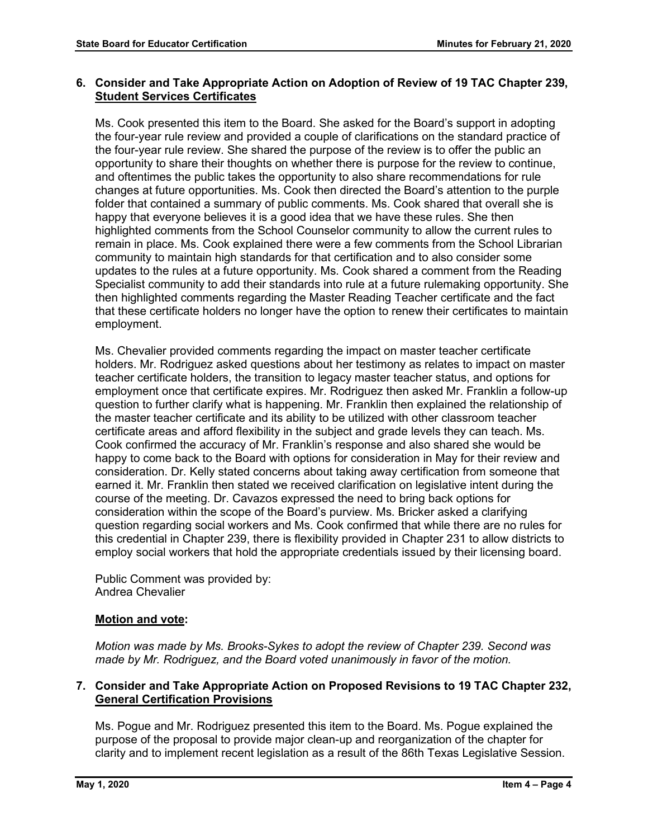# **6. Consider and Take Appropriate Action on Adoption of Review of 19 TAC Chapter 239, Student Services Certificates**

Ms. Cook presented this item to the Board. She asked for the Board's support in adopting the four-year rule review and provided a couple of clarifications on the standard practice of the four-year rule review. She shared the purpose of the review is to offer the public an opportunity to share their thoughts on whether there is purpose for the review to continue, and oftentimes the public takes the opportunity to also share recommendations for rule changes at future opportunities. Ms. Cook then directed the Board's attention to the purple folder that contained a summary of public comments. Ms. Cook shared that overall she is happy that everyone believes it is a good idea that we have these rules. She then highlighted comments from the School Counselor community to allow the current rules to remain in place. Ms. Cook explained there were a few comments from the School Librarian community to maintain high standards for that certification and to also consider some updates to the rules at a future opportunity. Ms. Cook shared a comment from the Reading Specialist community to add their standards into rule at a future rulemaking opportunity. She then highlighted comments regarding the Master Reading Teacher certificate and the fact that these certificate holders no longer have the option to renew their certificates to maintain employment.

Ms. Chevalier provided comments regarding the impact on master teacher certificate holders. Mr. Rodriguez asked questions about her testimony as relates to impact on master teacher certificate holders, the transition to legacy master teacher status, and options for employment once that certificate expires. Mr. Rodriguez then asked Mr. Franklin a follow-up question to further clarify what is happening. Mr. Franklin then explained the relationship of the master teacher certificate and its ability to be utilized with other classroom teacher certificate areas and afford flexibility in the subject and grade levels they can teach. Ms. Cook confirmed the accuracy of Mr. Franklin's response and also shared she would be happy to come back to the Board with options for consideration in May for their review and consideration. Dr. Kelly stated concerns about taking away certification from someone that earned it. Mr. Franklin then stated we received clarification on legislative intent during the course of the meeting. Dr. Cavazos expressed the need to bring back options for consideration within the scope of the Board's purview. Ms. Bricker asked a clarifying question regarding social workers and Ms. Cook confirmed that while there are no rules for this credential in Chapter 239, there is flexibility provided in Chapter 231 to allow districts to employ social workers that hold the appropriate credentials issued by their licensing board.

Public Comment was provided by: Andrea Chevalier

# **Motion and vote:**

*Motion was made by Ms. Brooks-Sykes to adopt the review of Chapter 239. Second was made by Mr. Rodriguez, and the Board voted unanimously in favor of the motion.*

## **7. Consider and Take Appropriate Action on Proposed Revisions to 19 TAC Chapter 232, General Certification Provisions**

Ms. Pogue and Mr. Rodriguez presented this item to the Board. Ms. Pogue explained the purpose of the proposal to provide major clean-up and reorganization of the chapter for clarity and to implement recent legislation as a result of the 86th Texas Legislative Session.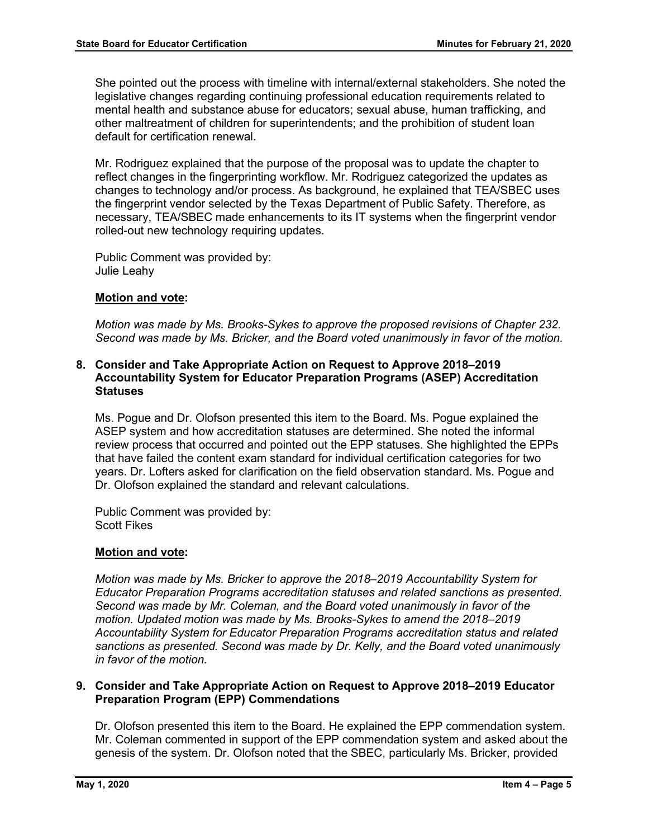She pointed out the process with timeline with internal/external stakeholders. She noted the legislative changes regarding continuing professional education requirements related to mental health and substance abuse for educators; sexual abuse, human trafficking, and other maltreatment of children for superintendents; and the prohibition of student loan default for certification renewal.

Mr. Rodriguez explained that the purpose of the proposal was to update the chapter to reflect changes in the fingerprinting workflow. Mr. Rodriguez categorized the updates as changes to technology and/or process. As background, he explained that TEA/SBEC uses the fingerprint vendor selected by the Texas Department of Public Safety. Therefore, as necessary, TEA/SBEC made enhancements to its IT systems when the fingerprint vendor rolled-out new technology requiring updates.

Public Comment was provided by: Julie Leahy

## **Motion and vote:**

*Motion was made by Ms. Brooks-Sykes to approve the proposed revisions of Chapter 232. Second was made by Ms. Bricker, and the Board voted unanimously in favor of the motion.*

## **8. Consider and Take Appropriate Action on Request to Approve 2018–2019 Accountability System for Educator Preparation Programs (ASEP) Accreditation Statuses**

Ms. Pogue and Dr. Olofson presented this item to the Board. Ms. Pogue explained the ASEP system and how accreditation statuses are determined. She noted the informal review process that occurred and pointed out the EPP statuses. She highlighted the EPPs that have failed the content exam standard for individual certification categories for two years. Dr. Lofters asked for clarification on the field observation standard. Ms. Pogue and Dr. Olofson explained the standard and relevant calculations.

Public Comment was provided by: Scott Fikes

# **Motion and vote:**

*Motion was made by Ms. Bricker to approve the 2018–2019 Accountability System for Educator Preparation Programs accreditation statuses and related sanctions as presented. Second was made by Mr. Coleman, and the Board voted unanimously in favor of the motion. Updated motion was made by Ms. Brooks-Sykes to amend the 2018–2019 Accountability System for Educator Preparation Programs accreditation status and related sanctions as presented. Second was made by Dr. Kelly, and the Board voted unanimously in favor of the motion.*

## **9. Consider and Take Appropriate Action on Request to Approve 2018–2019 Educator Preparation Program (EPP) Commendations**

Dr. Olofson presented this item to the Board. He explained the EPP commendation system. Mr. Coleman commented in support of the EPP commendation system and asked about the genesis of the system. Dr. Olofson noted that the SBEC, particularly Ms. Bricker, provided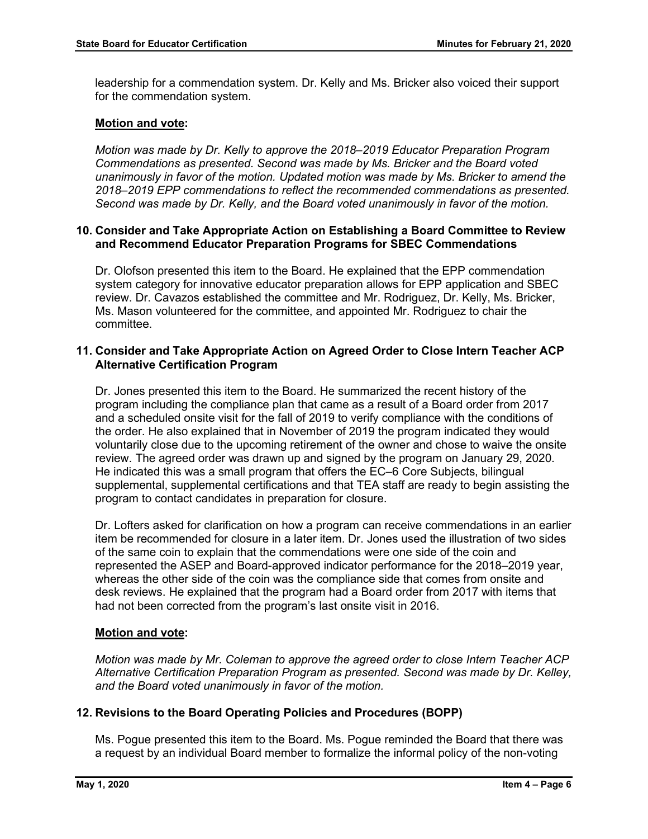leadership for a commendation system. Dr. Kelly and Ms. Bricker also voiced their support for the commendation system.

## **Motion and vote:**

*Motion was made by Dr. Kelly to approve the 2018–2019 Educator Preparation Program Commendations as presented. Second was made by Ms. Bricker and the Board voted unanimously in favor of the motion. Updated motion was made by Ms. Bricker to amend the 2018–2019 EPP commendations to reflect the recommended commendations as presented. Second was made by Dr. Kelly, and the Board voted unanimously in favor of the motion.*

## **10. Consider and Take Appropriate Action on Establishing a Board Committee to Review and Recommend Educator Preparation Programs for SBEC Commendations**

Dr. Olofson presented this item to the Board. He explained that the EPP commendation system category for innovative educator preparation allows for EPP application and SBEC review. Dr. Cavazos established the committee and Mr. Rodriguez, Dr. Kelly, Ms. Bricker, Ms. Mason volunteered for the committee, and appointed Mr. Rodriguez to chair the committee.

## **11. Consider and Take Appropriate Action on Agreed Order to Close Intern Teacher ACP Alternative Certification Program**

Dr. Jones presented this item to the Board. He summarized the recent history of the program including the compliance plan that came as a result of a Board order from 2017 and a scheduled onsite visit for the fall of 2019 to verify compliance with the conditions of the order. He also explained that in November of 2019 the program indicated they would voluntarily close due to the upcoming retirement of the owner and chose to waive the onsite review. The agreed order was drawn up and signed by the program on January 29, 2020. He indicated this was a small program that offers the EC–6 Core Subjects, bilingual supplemental, supplemental certifications and that TEA staff are ready to begin assisting the program to contact candidates in preparation for closure.

Dr. Lofters asked for clarification on how a program can receive commendations in an earlier item be recommended for closure in a later item. Dr. Jones used the illustration of two sides of the same coin to explain that the commendations were one side of the coin and represented the ASEP and Board-approved indicator performance for the 2018–2019 year, whereas the other side of the coin was the compliance side that comes from onsite and desk reviews. He explained that the program had a Board order from 2017 with items that had not been corrected from the program's last onsite visit in 2016.

## **Motion and vote:**

*Motion was made by Mr. Coleman to approve the agreed order to close Intern Teacher ACP Alternative Certification Preparation Program as presented. Second was made by Dr. Kelley, and the Board voted unanimously in favor of the motion.*

# **12. Revisions to the Board Operating Policies and Procedures (BOPP)**

Ms. Pogue presented this item to the Board. Ms. Pogue reminded the Board that there was a request by an individual Board member to formalize the informal policy of the non-voting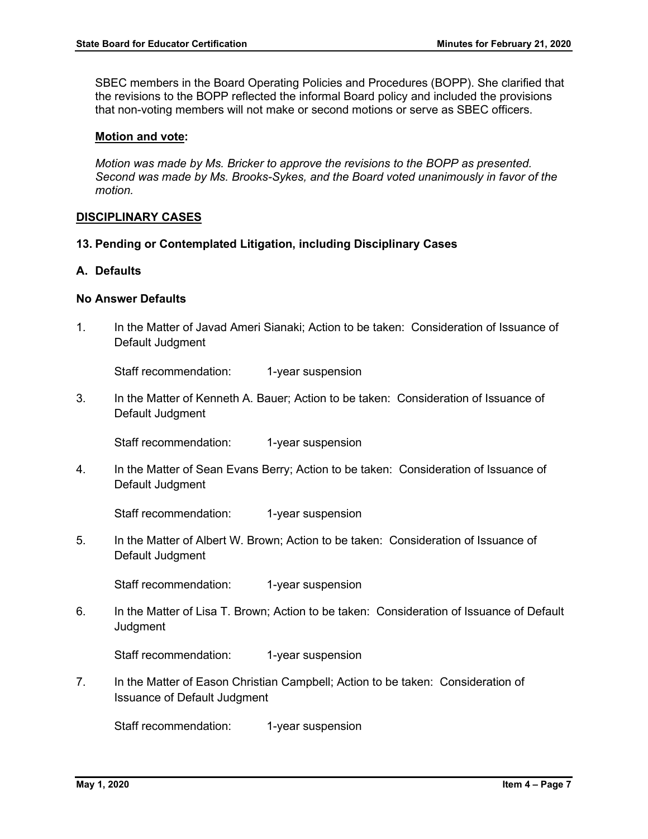SBEC members in the Board Operating Policies and Procedures (BOPP). She clarified that the revisions to the BOPP reflected the informal Board policy and included the provisions that non-voting members will not make or second motions or serve as SBEC officers.

#### **Motion and vote:**

*Motion was made by Ms. Bricker to approve the revisions to the BOPP as presented. Second was made by Ms. Brooks-Sykes, and the Board voted unanimously in favor of the motion.*

#### **DISCIPLINARY CASES**

**13. Pending or Contemplated Litigation, including Disciplinary Cases**

#### **A. Defaults**

## **No Answer Defaults**

1. In the Matter of Javad Ameri Sianaki; Action to be taken: Consideration of Issuance of Default Judgment

Staff recommendation: 1-year suspension

3. In the Matter of Kenneth A. Bauer; Action to be taken: Consideration of Issuance of Default Judgment

Staff recommendation: 1-year suspension

4. In the Matter of Sean Evans Berry; Action to be taken: Consideration of Issuance of Default Judgment

Staff recommendation: 1-year suspension

5. In the Matter of Albert W. Brown; Action to be taken: Consideration of Issuance of Default Judgment

Staff recommendation: 1-year suspension

6. In the Matter of Lisa T. Brown; Action to be taken: Consideration of Issuance of Default **Judgment** 

Staff recommendation: 1-year suspension

7. In the Matter of Eason Christian Campbell; Action to be taken: Consideration of Issuance of Default Judgment

Staff recommendation: 1-year suspension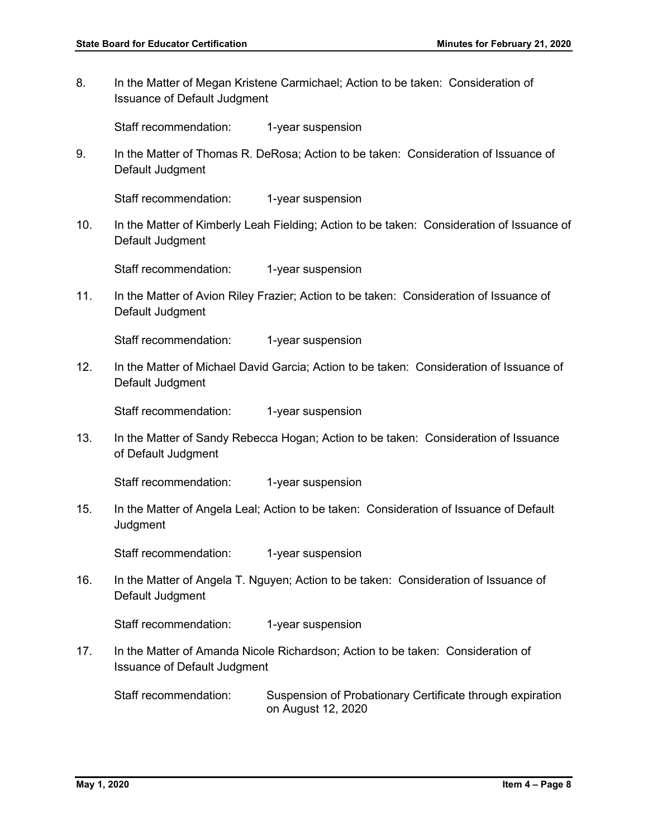8. In the Matter of Megan Kristene Carmichael; Action to be taken: Consideration of Issuance of Default Judgment

Staff recommendation: 1-year suspension

9. In the Matter of Thomas R. DeRosa; Action to be taken: Consideration of Issuance of Default Judgment

Staff recommendation: 1-year suspension

10. In the Matter of Kimberly Leah Fielding; Action to be taken: Consideration of Issuance of Default Judgment

Staff recommendation: 1-year suspension

11. In the Matter of Avion Riley Frazier; Action to be taken: Consideration of Issuance of Default Judgment

Staff recommendation: 1-year suspension

12. In the Matter of Michael David Garcia; Action to be taken: Consideration of Issuance of Default Judgment

Staff recommendation: 1-year suspension

13. In the Matter of Sandy Rebecca Hogan; Action to be taken: Consideration of Issuance of Default Judgment

Staff recommendation: 1-year suspension

15. In the Matter of Angela Leal; Action to be taken: Consideration of Issuance of Default **Judgment** 

Staff recommendation: 1-year suspension

16. In the Matter of Angela T. Nguyen; Action to be taken: Consideration of Issuance of Default Judgment

Staff recommendation: 1-year suspension

17. In the Matter of Amanda Nicole Richardson; Action to be taken: Consideration of Issuance of Default Judgment

Staff recommendation: Suspension of Probationary Certificate through expiration on August 12, 2020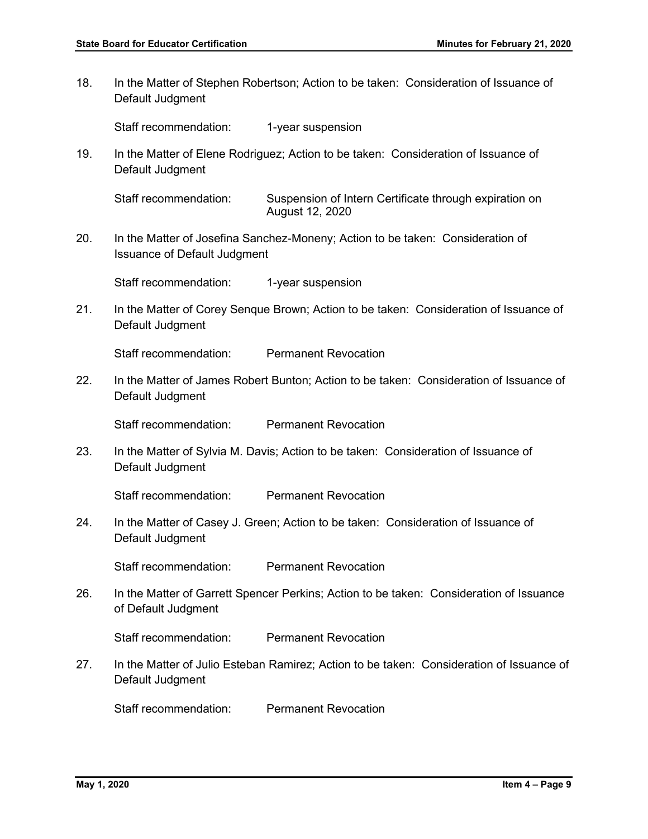18. In the Matter of Stephen Robertson; Action to be taken: Consideration of Issuance of Default Judgment

Staff recommendation: 1-year suspension

19. In the Matter of Elene Rodriguez; Action to be taken: Consideration of Issuance of Default Judgment

Staff recommendation: Suspension of Intern Certificate through expiration on August 12, 2020

20. In the Matter of Josefina Sanchez-Moneny; Action to be taken: Consideration of Issuance of Default Judgment

Staff recommendation: 1-year suspension

21. In the Matter of Corey Senque Brown; Action to be taken: Consideration of Issuance of Default Judgment

Staff recommendation: Permanent Revocation

22. In the Matter of James Robert Bunton; Action to be taken: Consideration of Issuance of Default Judgment

Staff recommendation: Permanent Revocation

23. In the Matter of Sylvia M. Davis; Action to be taken: Consideration of Issuance of Default Judgment

Staff recommendation: Permanent Revocation

24. In the Matter of Casey J. Green; Action to be taken: Consideration of Issuance of Default Judgment

Staff recommendation: Permanent Revocation

26. In the Matter of Garrett Spencer Perkins; Action to be taken: Consideration of Issuance of Default Judgment

Staff recommendation: Permanent Revocation

27. In the Matter of Julio Esteban Ramirez; Action to be taken: Consideration of Issuance of Default Judgment

Staff recommendation: Permanent Revocation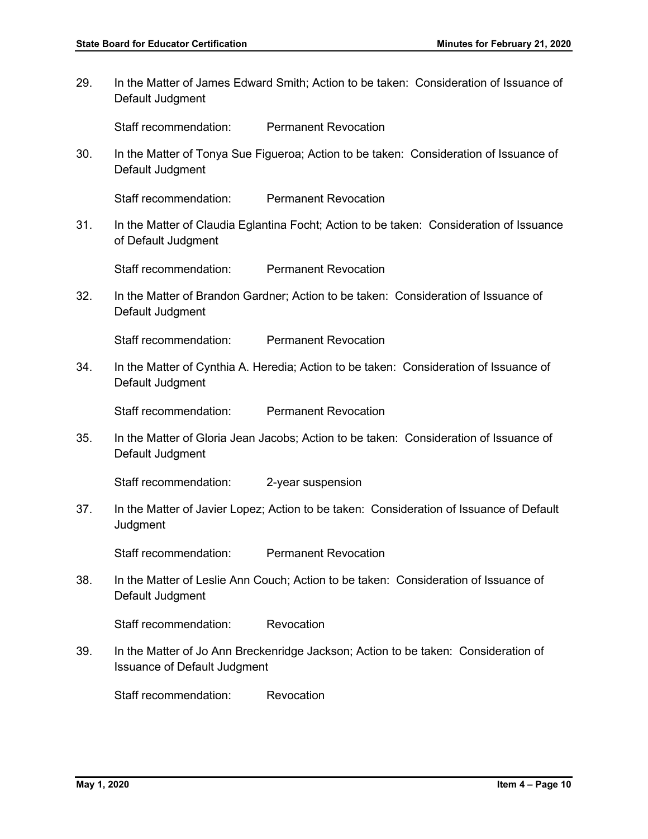29. In the Matter of James Edward Smith; Action to be taken: Consideration of Issuance of Default Judgment

Staff recommendation: Permanent Revocation

30. In the Matter of Tonya Sue Figueroa; Action to be taken: Consideration of Issuance of Default Judgment

Staff recommendation: Permanent Revocation

31. In the Matter of Claudia Eglantina Focht; Action to be taken: Consideration of Issuance of Default Judgment

Staff recommendation: Permanent Revocation

32. In the Matter of Brandon Gardner; Action to be taken: Consideration of Issuance of Default Judgment

Staff recommendation: Permanent Revocation

34. In the Matter of Cynthia A. Heredia; Action to be taken: Consideration of Issuance of Default Judgment

Staff recommendation: Permanent Revocation

35. In the Matter of Gloria Jean Jacobs; Action to be taken: Consideration of Issuance of Default Judgment

Staff recommendation: 2-year suspension

37. In the Matter of Javier Lopez; Action to be taken: Consideration of Issuance of Default **Judgment** 

Staff recommendation: Permanent Revocation

38. In the Matter of Leslie Ann Couch; Action to be taken: Consideration of Issuance of Default Judgment

Staff recommendation: Revocation

39. In the Matter of Jo Ann Breckenridge Jackson; Action to be taken: Consideration of Issuance of Default Judgment

Staff recommendation: Revocation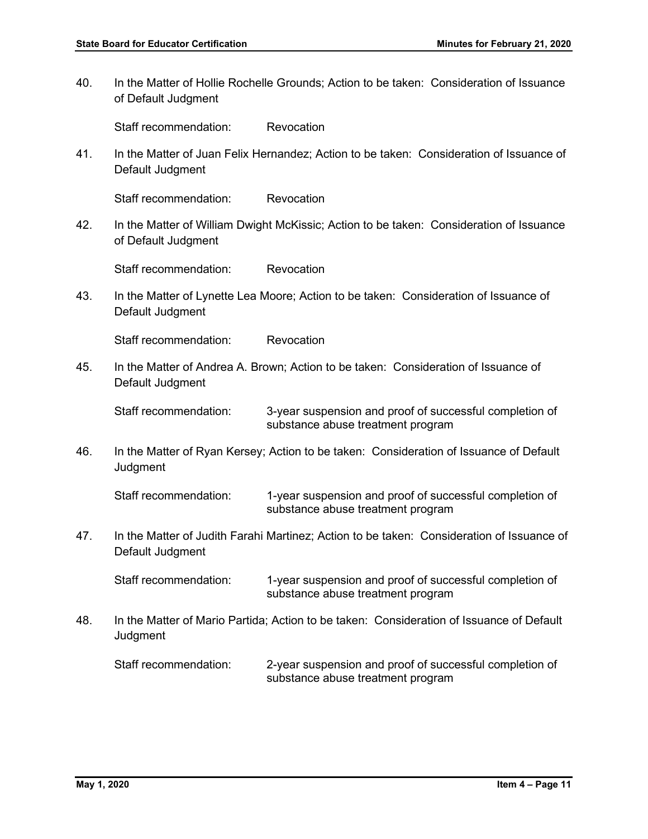40. In the Matter of Hollie Rochelle Grounds; Action to be taken: Consideration of Issuance of Default Judgment

Staff recommendation: Revocation

41. In the Matter of Juan Felix Hernandez; Action to be taken: Consideration of Issuance of Default Judgment

Staff recommendation: Revocation

42. In the Matter of William Dwight McKissic; Action to be taken: Consideration of Issuance of Default Judgment

Staff recommendation: Revocation

43. In the Matter of Lynette Lea Moore; Action to be taken: Consideration of Issuance of Default Judgment

Staff recommendation: Revocation

45. In the Matter of Andrea A. Brown; Action to be taken: Consideration of Issuance of Default Judgment

Staff recommendation: 3-year suspension and proof of successful completion of substance abuse treatment program

46. In the Matter of Ryan Kersey; Action to be taken: Consideration of Issuance of Default **Judgment** 

Staff recommendation: 1-year suspension and proof of successful completion of substance abuse treatment program

47. In the Matter of Judith Farahi Martinez; Action to be taken: Consideration of Issuance of Default Judgment

Staff recommendation: 1-year suspension and proof of successful completion of substance abuse treatment program

48. In the Matter of Mario Partida; Action to be taken: Consideration of Issuance of Default **Judgment** 

Staff recommendation: 2-year suspension and proof of successful completion of substance abuse treatment program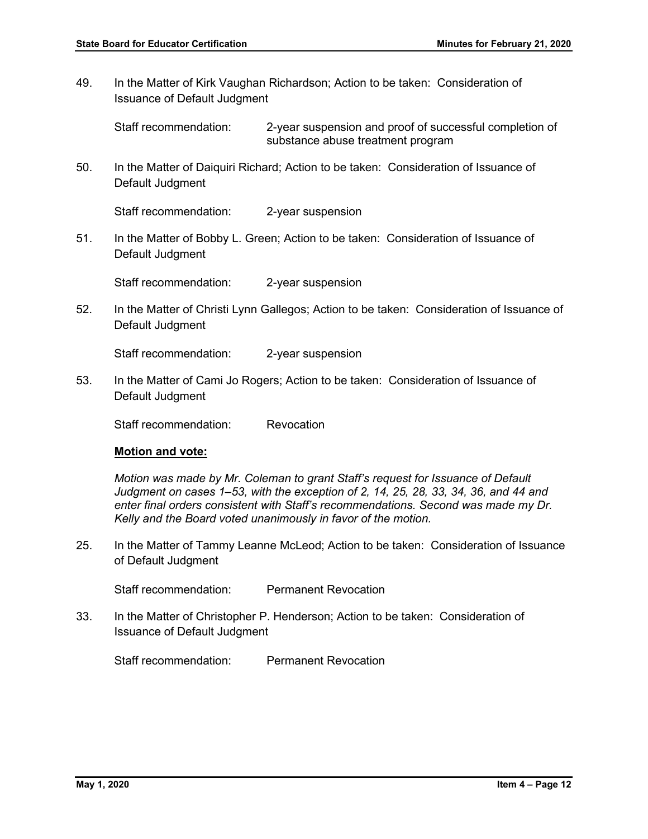49. In the Matter of Kirk Vaughan Richardson; Action to be taken: Consideration of Issuance of Default Judgment

Staff recommendation: 2-year suspension and proof of successful completion of substance abuse treatment program

50. In the Matter of Daiquiri Richard; Action to be taken: Consideration of Issuance of Default Judgment

Staff recommendation: 2-year suspension

51. In the Matter of Bobby L. Green; Action to be taken: Consideration of Issuance of Default Judgment

Staff recommendation: 2-year suspension

52. In the Matter of Christi Lynn Gallegos; Action to be taken: Consideration of Issuance of Default Judgment

Staff recommendation: 2-year suspension

53. In the Matter of Cami Jo Rogers; Action to be taken: Consideration of Issuance of Default Judgment

Staff recommendation: Revocation

#### **Motion and vote:**

*Motion was made by Mr. Coleman to grant Staff's request for Issuance of Default Judgment on cases 1–53, with the exception of 2, 14, 25, 28, 33, 34, 36, and 44 and enter final orders consistent with Staff's recommendations. Second was made my Dr. Kelly and the Board voted unanimously in favor of the motion.* 

25. In the Matter of Tammy Leanne McLeod; Action to be taken: Consideration of Issuance of Default Judgment

Staff recommendation: Permanent Revocation

33. In the Matter of Christopher P. Henderson; Action to be taken: Consideration of Issuance of Default Judgment

Staff recommendation: Permanent Revocation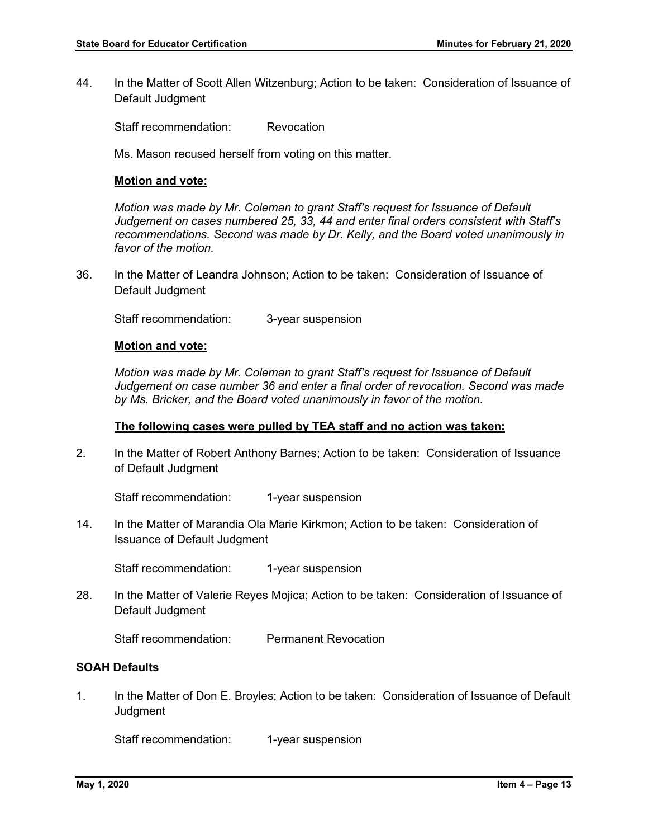44. In the Matter of Scott Allen Witzenburg; Action to be taken: Consideration of Issuance of Default Judgment

Staff recommendation: Revocation

Ms. Mason recused herself from voting on this matter.

#### **Motion and vote:**

*Motion was made by Mr. Coleman to grant Staff's request for Issuance of Default Judgement on cases numbered 25, 33, 44 and enter final orders consistent with Staff's recommendations. Second was made by Dr. Kelly, and the Board voted unanimously in favor of the motion.*

36. In the Matter of Leandra Johnson; Action to be taken: Consideration of Issuance of Default Judgment

Staff recommendation: 3-year suspension

#### **Motion and vote:**

*Motion was made by Mr. Coleman to grant Staff's request for Issuance of Default Judgement on case number 36 and enter a final order of revocation. Second was made by Ms. Bricker, and the Board voted unanimously in favor of the motion.*

#### **The following cases were pulled by TEA staff and no action was taken:**

2. In the Matter of Robert Anthony Barnes; Action to be taken: Consideration of Issuance of Default Judgment

Staff recommendation: 1-year suspension

14. In the Matter of Marandia Ola Marie Kirkmon; Action to be taken: Consideration of Issuance of Default Judgment

Staff recommendation: 1-year suspension

28. In the Matter of Valerie Reyes Mojica; Action to be taken: Consideration of Issuance of Default Judgment

Staff recommendation: Permanent Revocation

#### **SOAH Defaults**

1. In the Matter of Don E. Broyles; Action to be taken: Consideration of Issuance of Default **Judgment** 

Staff recommendation: 1-year suspension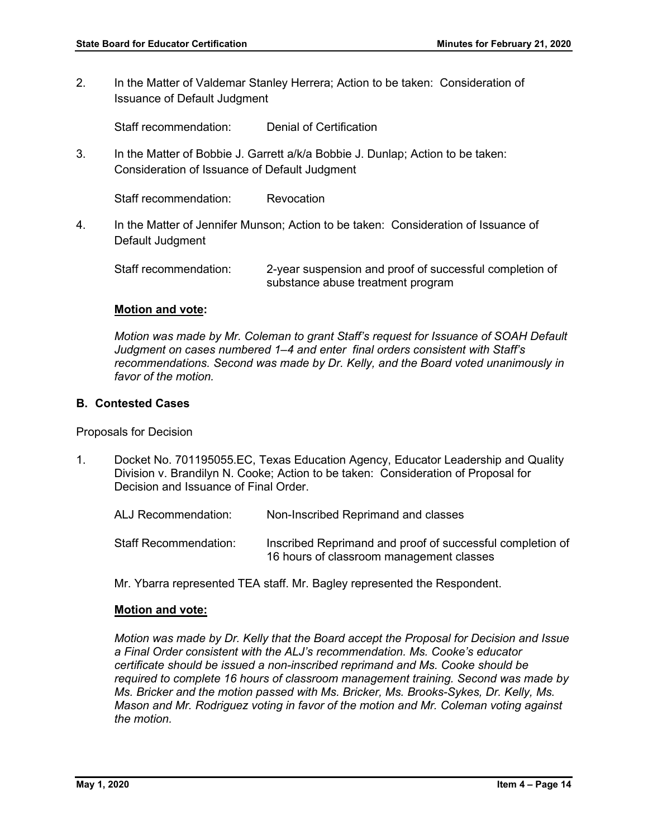2. In the Matter of Valdemar Stanley Herrera; Action to be taken: Consideration of Issuance of Default Judgment

Staff recommendation: Denial of Certification

3. In the Matter of Bobbie J. Garrett a/k/a Bobbie J. Dunlap; Action to be taken: Consideration of Issuance of Default Judgment

Staff recommendation: Revocation

4. In the Matter of Jennifer Munson; Action to be taken: Consideration of Issuance of Default Judgment

Staff recommendation: 2-year suspension and proof of successful completion of substance abuse treatment program

# **Motion and vote:**

*Motion was made by Mr. Coleman to grant Staff's request for Issuance of SOAH Default Judgment on cases numbered 1–4 and enter final orders consistent with Staff's recommendations. Second was made by Dr. Kelly, and the Board voted unanimously in favor of the motion.*

## **B. Contested Cases**

Proposals for Decision

1. Docket No. 701195055.EC, Texas Education Agency, Educator Leadership and Quality Division v. Brandilyn N. Cooke; Action to be taken: Consideration of Proposal for Decision and Issuance of Final Order.

| ALJ Recommendation:   | Non-Inscribed Reprimand and classes                                                                   |
|-----------------------|-------------------------------------------------------------------------------------------------------|
| Staff Recommendation: | Inscribed Reprimand and proof of successful completion of<br>16 hours of classroom management classes |

Mr. Ybarra represented TEA staff. Mr. Bagley represented the Respondent.

# **Motion and vote:**

*Motion was made by Dr. Kelly that the Board accept the Proposal for Decision and Issue a Final Order consistent with the ALJ's recommendation. Ms. Cooke's educator certificate should be issued a non-inscribed reprimand and Ms. Cooke should be required to complete 16 hours of classroom management training. Second was made by Ms. Bricker and the motion passed with Ms. Bricker, Ms. Brooks-Sykes, Dr. Kelly, Ms. Mason and Mr. Rodriguez voting in favor of the motion and Mr. Coleman voting against the motion.*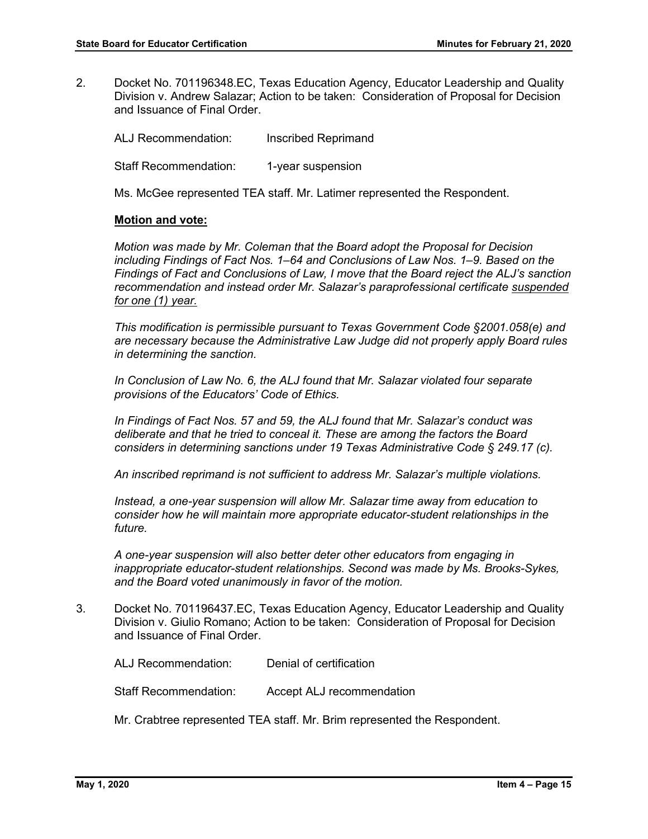2. Docket No. 701196348.EC, Texas Education Agency, Educator Leadership and Quality Division v. Andrew Salazar; Action to be taken: Consideration of Proposal for Decision and Issuance of Final Order.

ALJ Recommendation: Inscribed Reprimand Staff Recommendation: 1-year suspension

Ms. McGee represented TEA staff. Mr. Latimer represented the Respondent.

## **Motion and vote:**

*Motion was made by Mr. Coleman that the Board adopt the Proposal for Decision including Findings of Fact Nos. 1–64 and Conclusions of Law Nos. 1–9. Based on the Findings of Fact and Conclusions of Law, I move that the Board reject the ALJ's sanction recommendation and instead order Mr. Salazar's paraprofessional certificate suspended for one (1) year.*

*This modification is permissible pursuant to Texas Government Code §2001.058(e) and are necessary because the Administrative Law Judge did not properly apply Board rules in determining the sanction.* 

*In Conclusion of Law No. 6, the ALJ found that Mr. Salazar violated four separate provisions of the Educators' Code of Ethics.* 

*In Findings of Fact Nos. 57 and 59, the ALJ found that Mr. Salazar's conduct was deliberate and that he tried to conceal it. These are among the factors the Board considers in determining sanctions under 19 Texas Administrative Code § 249.17 (c).* 

*An inscribed reprimand is not sufficient to address Mr. Salazar's multiple violations.* 

*Instead, a one-year suspension will allow Mr. Salazar time away from education to consider how he will maintain more appropriate educator-student relationships in the future.* 

*A one-year suspension will also better deter other educators from engaging in inappropriate educator-student relationships. Second was made by Ms. Brooks-Sykes, and the Board voted unanimously in favor of the motion.* 

3. Docket No. 701196437.EC, Texas Education Agency, Educator Leadership and Quality Division v. Giulio Romano; Action to be taken: Consideration of Proposal for Decision and Issuance of Final Order.

ALJ Recommendation: Denial of certification

Staff Recommendation: Accept ALJ recommendation

Mr. Crabtree represented TEA staff. Mr. Brim represented the Respondent.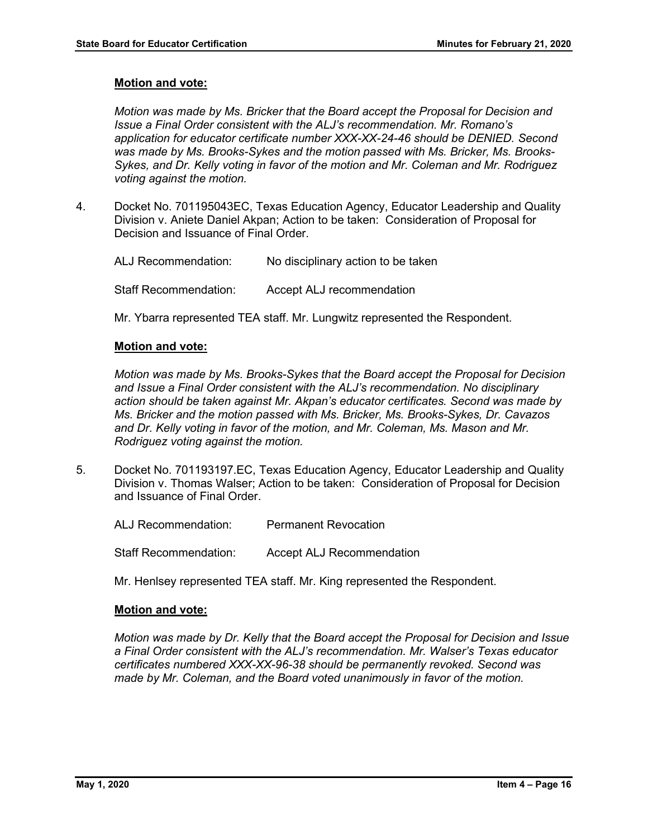## **Motion and vote:**

*Motion was made by Ms. Bricker that the Board accept the Proposal for Decision and Issue a Final Order consistent with the ALJ's recommendation. Mr. Romano's application for educator certificate number XXX-XX-24-46 should be DENIED. Second was made by Ms. Brooks-Sykes and the motion passed with Ms. Bricker, Ms. Brooks-Sykes, and Dr. Kelly voting in favor of the motion and Mr. Coleman and Mr. Rodriguez voting against the motion.*

4. Docket No. 701195043EC, Texas Education Agency, Educator Leadership and Quality Division v. Aniete Daniel Akpan; Action to be taken: Consideration of Proposal for Decision and Issuance of Final Order.

ALJ Recommendation: No disciplinary action to be taken Staff Recommendation: Accept ALJ recommendation

Mr. Ybarra represented TEA staff. Mr. Lungwitz represented the Respondent.

## **Motion and vote:**

*Motion was made by Ms. Brooks-Sykes that the Board accept the Proposal for Decision and Issue a Final Order consistent with the ALJ's recommendation. No disciplinary action should be taken against Mr. Akpan's educator certificates. Second was made by Ms. Bricker and the motion passed with Ms. Bricker, Ms. Brooks-Sykes, Dr. Cavazos and Dr. Kelly voting in favor of the motion, and Mr. Coleman, Ms. Mason and Mr. Rodriguez voting against the motion.*

5. Docket No. 701193197.EC, Texas Education Agency, Educator Leadership and Quality Division v. Thomas Walser; Action to be taken: Consideration of Proposal for Decision and Issuance of Final Order.

ALJ Recommendation: Permanent Revocation

Staff Recommendation: Accept ALJ Recommendation

Mr. Henlsey represented TEA staff. Mr. King represented the Respondent.

## **Motion and vote:**

*Motion was made by Dr. Kelly that the Board accept the Proposal for Decision and Issue a Final Order consistent with the ALJ's recommendation. Mr. Walser's Texas educator certificates numbered XXX-XX-96-38 should be permanently revoked. Second was made by Mr. Coleman, and the Board voted unanimously in favor of the motion.*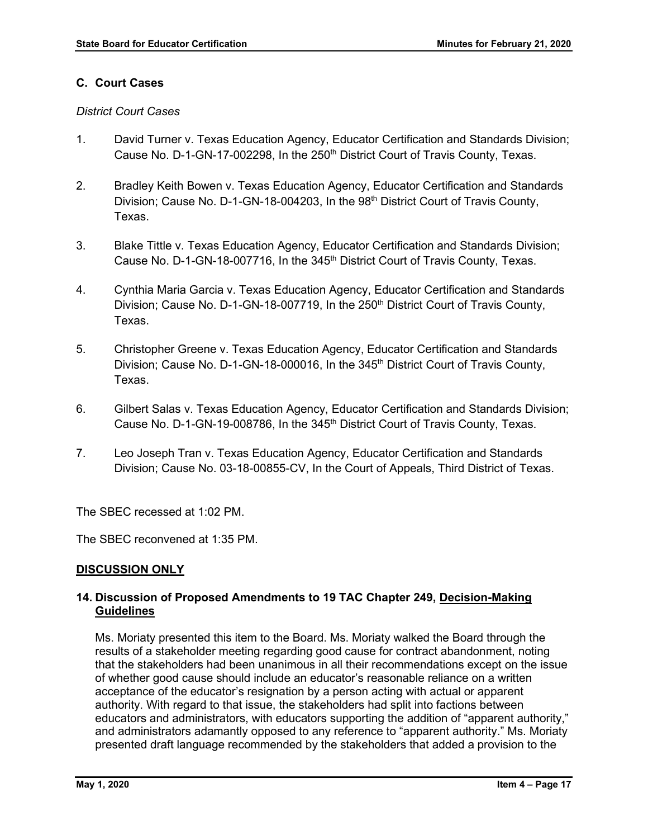# **C. Court Cases**

## *District Court Cases*

- 1. David Turner v. Texas Education Agency, Educator Certification and Standards Division; Cause No. D-1-GN-17-002298, In the 250<sup>th</sup> District Court of Travis County, Texas.
- 2. Bradley Keith Bowen v. Texas Education Agency, Educator Certification and Standards Division; Cause No. D-1-GN-18-004203, In the 98<sup>th</sup> District Court of Travis County, Texas.
- 3. Blake Tittle v. Texas Education Agency, Educator Certification and Standards Division; Cause No. D-1-GN-18-007716, In the 345<sup>th</sup> District Court of Travis County, Texas.
- 4. Cynthia Maria Garcia v. Texas Education Agency, Educator Certification and Standards Division; Cause No. D-1-GN-18-007719, In the 250<sup>th</sup> District Court of Travis County, Texas.
- 5. Christopher Greene v. Texas Education Agency, Educator Certification and Standards Division; Cause No. D-1-GN-18-000016, In the 345<sup>th</sup> District Court of Travis County, Texas.
- 6. Gilbert Salas v. Texas Education Agency, Educator Certification and Standards Division; Cause No. D-1-GN-19-008786, In the 345<sup>th</sup> District Court of Travis County, Texas.
- 7. Leo Joseph Tran v. Texas Education Agency, Educator Certification and Standards Division; Cause No. 03-18-00855-CV, In the Court of Appeals, Third District of Texas.

The SBEC recessed at 1:02 PM.

The SBEC reconvened at 1:35 PM.

# **DISCUSSION ONLY**

# **14. Discussion of Proposed Amendments to 19 TAC Chapter 249, Decision-Making Guidelines**

Ms. Moriaty presented this item to the Board. Ms. Moriaty walked the Board through the results of a stakeholder meeting regarding good cause for contract abandonment, noting that the stakeholders had been unanimous in all their recommendations except on the issue of whether good cause should include an educator's reasonable reliance on a written acceptance of the educator's resignation by a person acting with actual or apparent authority. With regard to that issue, the stakeholders had split into factions between educators and administrators, with educators supporting the addition of "apparent authority," and administrators adamantly opposed to any reference to "apparent authority." Ms. Moriaty presented draft language recommended by the stakeholders that added a provision to the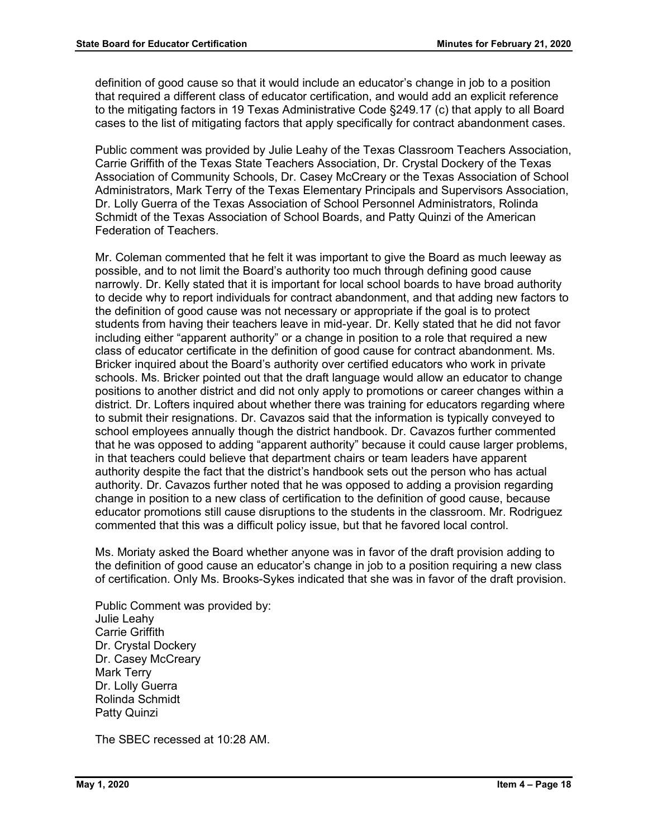definition of good cause so that it would include an educator's change in job to a position that required a different class of educator certification, and would add an explicit reference to the mitigating factors in 19 Texas Administrative Code §249.17 (c) that apply to all Board cases to the list of mitigating factors that apply specifically for contract abandonment cases.

Public comment was provided by Julie Leahy of the Texas Classroom Teachers Association, Carrie Griffith of the Texas State Teachers Association, Dr. Crystal Dockery of the Texas Association of Community Schools, Dr. Casey McCreary or the Texas Association of School Administrators, Mark Terry of the Texas Elementary Principals and Supervisors Association, Dr. Lolly Guerra of the Texas Association of School Personnel Administrators, Rolinda Schmidt of the Texas Association of School Boards, and Patty Quinzi of the American Federation of Teachers.

Mr. Coleman commented that he felt it was important to give the Board as much leeway as possible, and to not limit the Board's authority too much through defining good cause narrowly. Dr. Kelly stated that it is important for local school boards to have broad authority to decide why to report individuals for contract abandonment, and that adding new factors to the definition of good cause was not necessary or appropriate if the goal is to protect students from having their teachers leave in mid-year. Dr. Kelly stated that he did not favor including either "apparent authority" or a change in position to a role that required a new class of educator certificate in the definition of good cause for contract abandonment. Ms. Bricker inquired about the Board's authority over certified educators who work in private schools. Ms. Bricker pointed out that the draft language would allow an educator to change positions to another district and did not only apply to promotions or career changes within a district. Dr. Lofters inquired about whether there was training for educators regarding where to submit their resignations. Dr. Cavazos said that the information is typically conveyed to school employees annually though the district handbook. Dr. Cavazos further commented that he was opposed to adding "apparent authority" because it could cause larger problems, in that teachers could believe that department chairs or team leaders have apparent authority despite the fact that the district's handbook sets out the person who has actual authority. Dr. Cavazos further noted that he was opposed to adding a provision regarding change in position to a new class of certification to the definition of good cause, because educator promotions still cause disruptions to the students in the classroom. Mr. Rodriguez commented that this was a difficult policy issue, but that he favored local control.

Ms. Moriaty asked the Board whether anyone was in favor of the draft provision adding to the definition of good cause an educator's change in job to a position requiring a new class of certification. Only Ms. Brooks-Sykes indicated that she was in favor of the draft provision.

Public Comment was provided by: Julie Leahy Carrie Griffith Dr. Crystal Dockery Dr. Casey McCreary Mark Terry Dr. Lolly Guerra Rolinda Schmidt Patty Quinzi

The SBEC recessed at 10:28 AM.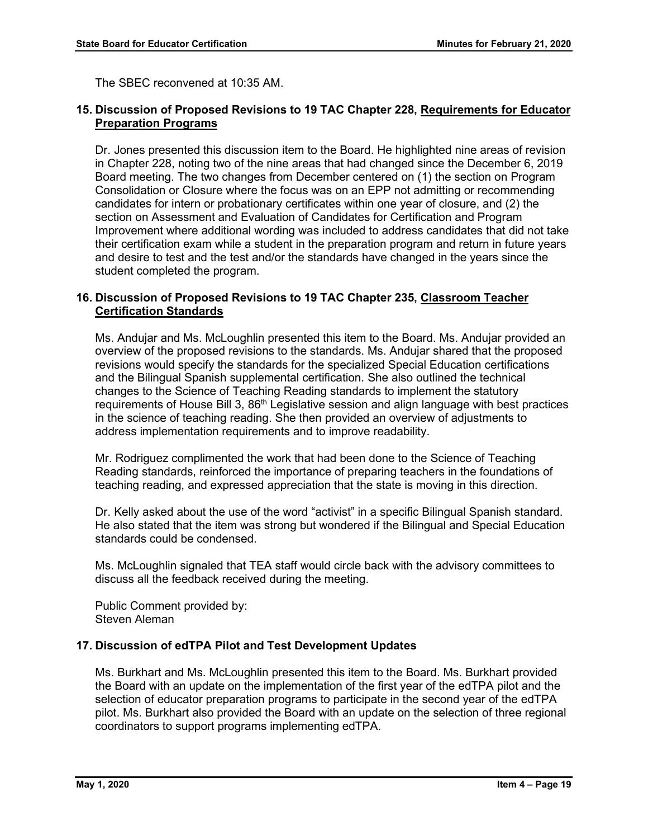The SBEC reconvened at 10:35 AM.

## **15. Discussion of Proposed Revisions to 19 TAC Chapter 228, Requirements for Educator Preparation Programs**

Dr. Jones presented this discussion item to the Board. He highlighted nine areas of revision in Chapter 228, noting two of the nine areas that had changed since the December 6, 2019 Board meeting. The two changes from December centered on (1) the section on Program Consolidation or Closure where the focus was on an EPP not admitting or recommending candidates for intern or probationary certificates within one year of closure, and (2) the section on Assessment and Evaluation of Candidates for Certification and Program Improvement where additional wording was included to address candidates that did not take their certification exam while a student in the preparation program and return in future years and desire to test and the test and/or the standards have changed in the years since the student completed the program.

## **16. Discussion of Proposed Revisions to 19 TAC Chapter 235, Classroom Teacher Certification Standards**

Ms. Andujar and Ms. McLoughlin presented this item to the Board. Ms. Andujar provided an overview of the proposed revisions to the standards. Ms. Andujar shared that the proposed revisions would specify the standards for the specialized Special Education certifications and the Bilingual Spanish supplemental certification. She also outlined the technical changes to the Science of Teaching Reading standards to implement the statutory requirements of House Bill 3, 86<sup>th</sup> Legislative session and align language with best practices in the science of teaching reading. She then provided an overview of adjustments to address implementation requirements and to improve readability.

Mr. Rodriguez complimented the work that had been done to the Science of Teaching Reading standards, reinforced the importance of preparing teachers in the foundations of teaching reading, and expressed appreciation that the state is moving in this direction.

Dr. Kelly asked about the use of the word "activist" in a specific Bilingual Spanish standard. He also stated that the item was strong but wondered if the Bilingual and Special Education standards could be condensed.

Ms. McLoughlin signaled that TEA staff would circle back with the advisory committees to discuss all the feedback received during the meeting.

Public Comment provided by: Steven Aleman

# **17. Discussion of edTPA Pilot and Test Development Updates**

Ms. Burkhart and Ms. McLoughlin presented this item to the Board. Ms. Burkhart provided the Board with an update on the implementation of the first year of the edTPA pilot and the selection of educator preparation programs to participate in the second year of the edTPA pilot. Ms. Burkhart also provided the Board with an update on the selection of three regional coordinators to support programs implementing edTPA.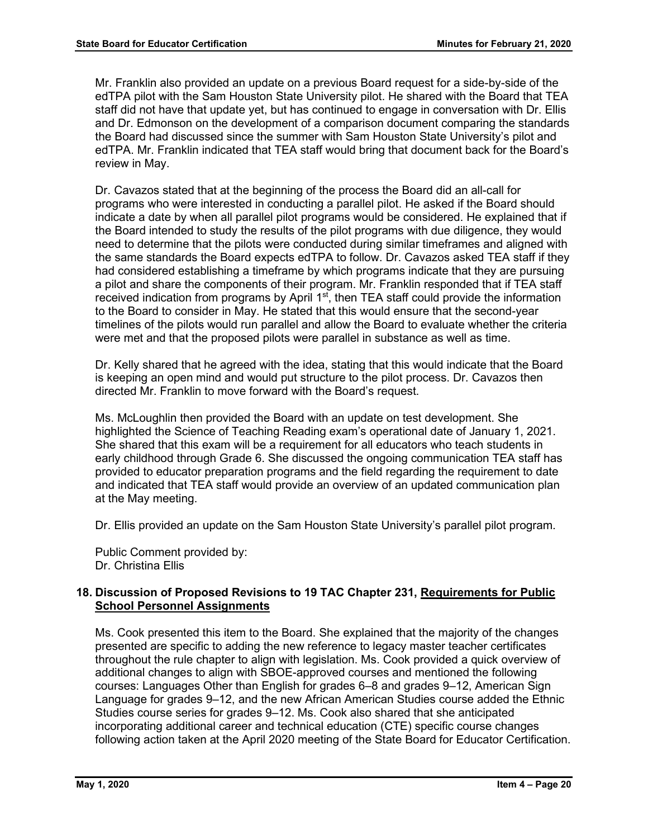Mr. Franklin also provided an update on a previous Board request for a side-by-side of the edTPA pilot with the Sam Houston State University pilot. He shared with the Board that TEA staff did not have that update yet, but has continued to engage in conversation with Dr. Ellis and Dr. Edmonson on the development of a comparison document comparing the standards the Board had discussed since the summer with Sam Houston State University's pilot and edTPA. Mr. Franklin indicated that TEA staff would bring that document back for the Board's review in May.

Dr. Cavazos stated that at the beginning of the process the Board did an all-call for programs who were interested in conducting a parallel pilot. He asked if the Board should indicate a date by when all parallel pilot programs would be considered. He explained that if the Board intended to study the results of the pilot programs with due diligence, they would need to determine that the pilots were conducted during similar timeframes and aligned with the same standards the Board expects edTPA to follow. Dr. Cavazos asked TEA staff if they had considered establishing a timeframe by which programs indicate that they are pursuing a pilot and share the components of their program. Mr. Franklin responded that if TEA staff received indication from programs by April  $1<sup>st</sup>$ , then TEA staff could provide the information to the Board to consider in May. He stated that this would ensure that the second-year timelines of the pilots would run parallel and allow the Board to evaluate whether the criteria were met and that the proposed pilots were parallel in substance as well as time.

Dr. Kelly shared that he agreed with the idea, stating that this would indicate that the Board is keeping an open mind and would put structure to the pilot process. Dr. Cavazos then directed Mr. Franklin to move forward with the Board's request.

Ms. McLoughlin then provided the Board with an update on test development. She highlighted the Science of Teaching Reading exam's operational date of January 1, 2021. She shared that this exam will be a requirement for all educators who teach students in early childhood through Grade 6. She discussed the ongoing communication TEA staff has provided to educator preparation programs and the field regarding the requirement to date and indicated that TEA staff would provide an overview of an updated communication plan at the May meeting.

Dr. Ellis provided an update on the Sam Houston State University's parallel pilot program.

Public Comment provided by: Dr. Christina Ellis

# **18. Discussion of Proposed Revisions to 19 TAC Chapter 231, Requirements for Public School Personnel Assignments**

Ms. Cook presented this item to the Board. She explained that the majority of the changes presented are specific to adding the new reference to legacy master teacher certificates throughout the rule chapter to align with legislation. Ms. Cook provided a quick overview of additional changes to align with SBOE-approved courses and mentioned the following courses: Languages Other than English for grades 6–8 and grades 9–12, American Sign Language for grades 9–12, and the new African American Studies course added the Ethnic Studies course series for grades 9–12. Ms. Cook also shared that she anticipated incorporating additional career and technical education (CTE) specific course changes following action taken at the April 2020 meeting of the State Board for Educator Certification.